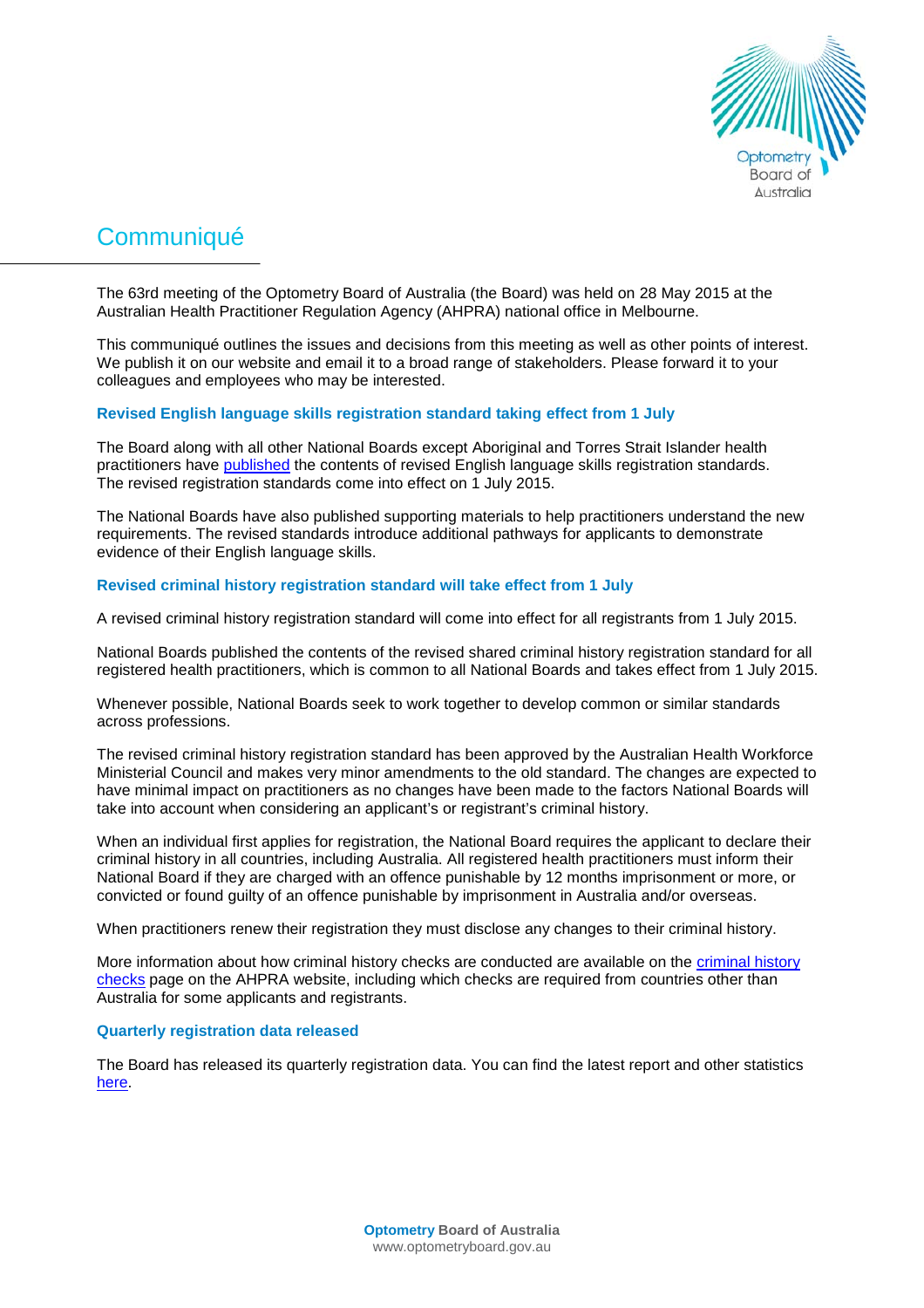

# **Communiqué**

The 63rd meeting of the Optometry Board of Australia (the Board) was held on 28 May 2015 at the Australian Health Practitioner Regulation Agency (AHPRA) national office in Melbourne.

This communiqué outlines the issues and decisions from this meeting as well as other points of interest. We publish it on our website and email it to a broad range of stakeholders. Please forward it to your colleagues and employees who may be interested.

# **Revised English language skills registration standard taking effect from 1 July**

The Board along with all other National Boards except Aboriginal and Torres Strait Islander health practitioners have [published](http://www.ahpra.gov.au/Registration/Registration-Standards/English-language-skills.aspx) the contents of revised English language skills registration standards. The revised registration standards come into effect on 1 July 2015.

The National Boards have also published supporting materials to help practitioners understand the new requirements. The revised standards introduce additional pathways for applicants to demonstrate evidence of their English language skills.

### **Revised criminal history registration standard will take effect from 1 July**

A revised criminal history registration standard will come into effect for all registrants from 1 July 2015.

National Boards published the contents of the revised shared criminal history registration standard for all registered health practitioners, which is common to all National Boards and takes effect from 1 July 2015.

Whenever possible, National Boards seek to work together to develop common or similar standards across professions.

The revised criminal history registration standard has been approved by the Australian Health Workforce Ministerial Council and makes very minor amendments to the old standard. The changes are expected to have minimal impact on practitioners as no changes have been made to the factors National Boards will take into account when considering an applicant's or registrant's criminal history.

When an individual first applies for registration, the National Board requires the applicant to declare their criminal history in all countries, including Australia. All registered health practitioners must inform their National Board if they are charged with an offence punishable by 12 months imprisonment or more, or convicted or found guilty of an offence punishable by imprisonment in Australia and/or overseas.

When practitioners renew their registration they must disclose any changes to their criminal history.

More information about how criminal history checks are conducted are available on the [criminal history](http://www.ahpra.gov.au/Registration/Registration-Process/Criminal-history-checks.aspx)  [checks](http://www.ahpra.gov.au/Registration/Registration-Process/Criminal-history-checks.aspx) page on the AHPRA website, including which checks are required from countries other than Australia for some applicants and registrants.

#### **Quarterly registration data released**

The Board has released its quarterly registration data. You can find the latest report and other statistics [here.](http://www.optometryboard.gov.au/About/Statistics.aspx)